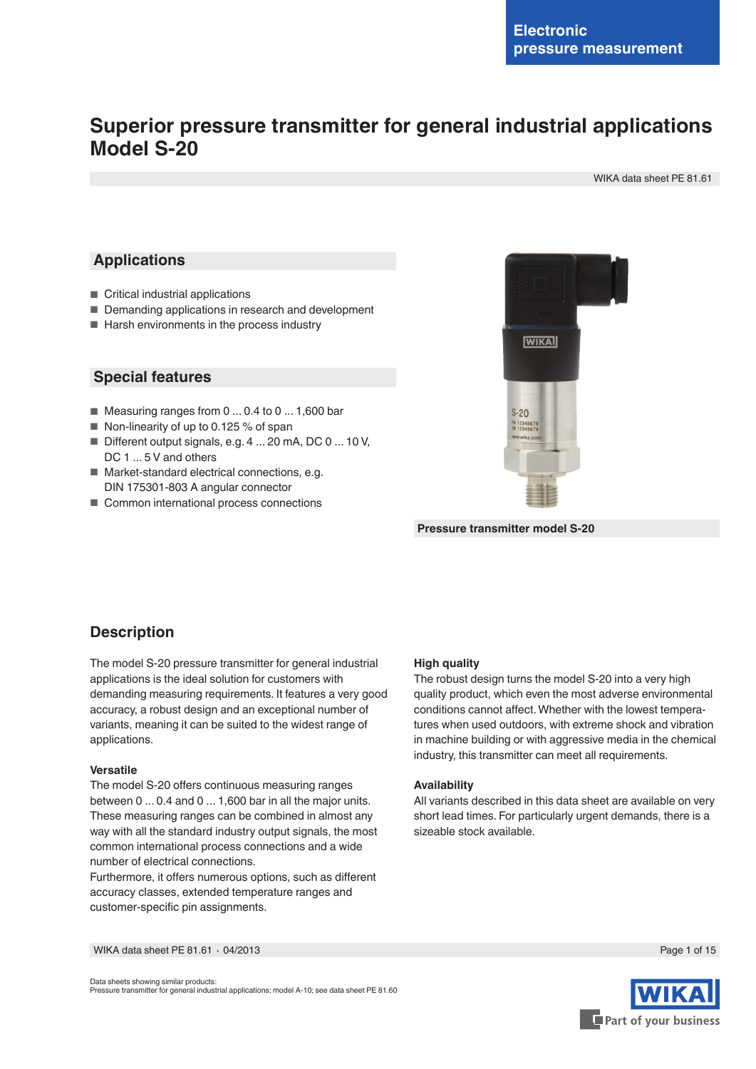# **Superior pressure transmitter for general industrial applications Model S-20**

WIKA data sheet PE 81.61

## **Applications**

- Critical industrial applications
- Demanding applications in research and development
- Harsh environments in the process industry

## **Special features**

- Measuring ranges from 0 ... 0.4 to 0 ... 1,600 bar
- Non-linearity of up to 0.125 % of span
- Different output signals, e.g. 4 ... 20 mA, DC 0 ... 10 V. DC 1 ... 5 V and others
- Market-standard electrical connections, e.g. DIN 175301-803 A angular connector
- Common international process connections



**Pressure transmitter model S-20**

# **Description**

The model S-20 pressure transmitter for general industrial applications is the ideal solution for customers with demanding measuring requirements. It features a very good accuracy, a robust design and an exceptional number of variants, meaning it can be suited to the widest range of applications.

#### **Versatile**

The model S-20 offers continuous measuring ranges between 0 ... 0.4 and 0 ... 1,600 bar in all the major units. These measuring ranges can be combined in almost any way with all the standard industry output signals, the most common international process connections and a wide number of electrical connections.

Furthermore, it offers numerous options, such as different accuracy classes, extended temperature ranges and customer-specific pin assignments.

#### **High quality**

The robust design turns the model S-20 into a very high quality product, which even the most adverse environmental conditions cannot affect. Whether with the lowest temperatures when used outdoors, with extreme shock and vibration in machine building or with aggressive media in the chemical industry, this transmitter can meet all requirements.

### **Availability**

All variants described in this data sheet are available on very short lead times. For particularly urgent demands, there is a sizeable stock available.

Data sheets showing similar products: Pressure transmitter for general industrial applications; model A-10; see data sheet PE 81.60

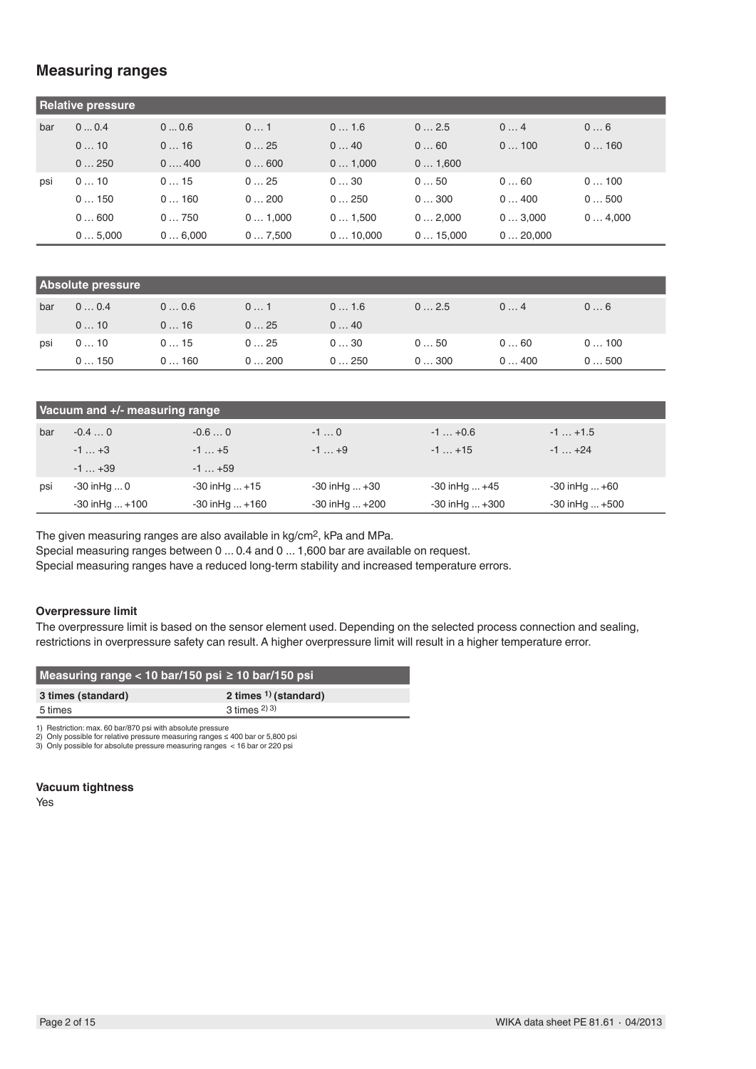# **Measuring ranges**

|     | <b>Relative pressure</b> |        |        |         |         |         |        |
|-----|--------------------------|--------|--------|---------|---------|---------|--------|
| bar | 00.4                     | 00.6   | 01     | 01.6    | 02.5    | 04      | 06     |
|     | 010                      | 016    | 025    | 040     | 060     | 0100    | 0160   |
|     | 0250                     | 0400   | 0600   | 01,000  | 01,600  |         |        |
| psi | 010                      | 015    | 025    | 030     | 050     | 060     | 0100   |
|     | 0150                     | 0160   | 0200   | 0250    | 0300    | 0400    | 0500   |
|     | 0600                     | 0750   | 01,000 | 01,500  | 02,000  | 03,000  | 04,000 |
|     | 05,000                   | 06.000 | 07.500 | 010.000 | 015.000 | 020.000 |        |

| <b>Absolute pressure</b> |      |      |      |      |      |      |      |
|--------------------------|------|------|------|------|------|------|------|
| bar                      | 00.4 | 00.6 | 01   | 01.6 | 02.5 | 04   | 06   |
|                          | 010  | 016  | 025  | 040  |      |      |      |
| psi                      | 010  | 015  | 025  | 030  | 050  | 060  | 0100 |
|                          | 0150 | 0160 | 0200 | 0250 | 0300 | 0400 | 0500 |

|     | Vacuum and +/- measuring range |                      |                      |                      |                     |
|-----|--------------------------------|----------------------|----------------------|----------------------|---------------------|
| bar | $-0.40$                        | $-0.60$              | $-10$                | $-1+0.6$             | $-1$ $+1.5$         |
|     | $-1+3$                         | $-1$ $+5$            | $-1$ +9              | $-1$ $+15$           | $-1$ $+24$          |
|     | $-1+39$                        | $-1$ $+59$           |                      |                      |                     |
| psi | $-30$ in Hq $\dots$ 0          | $-30$ in Hg $ + 15$  | $-30$ in Hg $ +30$   | $-30$ in Hg $+45$    | $-30$ in Hg $ +60$  |
|     | $-30$ in Hg $ + 100$           | $-30$ in Hg $ + 160$ | $-30$ in Hg $ + 200$ | $-30$ in Hg $ + 300$ | $-30$ in Hg $ +500$ |

The given measuring ranges are also available in kg/cm2, kPa and MPa.

Special measuring ranges between 0 ... 0.4 and 0 ... 1,600 bar are available on request.

Special measuring ranges have a reduced long-term stability and increased temperature errors.

### **Overpressure limit**

The overpressure limit is based on the sensor element used. Depending on the selected process connection and sealing, restrictions in overpressure safety can result. A higher overpressure limit will result in a higher temperature error.

| Measuring range < 10 bar/150 psi ≥ 10 bar/150 psi |                                   |
|---------------------------------------------------|-----------------------------------|
| 3 times (standard)                                | 2 times <sup>1</sup> ) (standard) |
| 5 times                                           | $3 \times 2)$ 3)                  |

1) Restriction: max. 60 bar/870 psi with absolute pressure

2) Only possible for relative pressure measuring ranges ≤ 400 bar or 5,800 psi 3) Only possible for absolute pressure measuring ranges < 16 bar or 220 psi

**Vacuum tightness**

Yes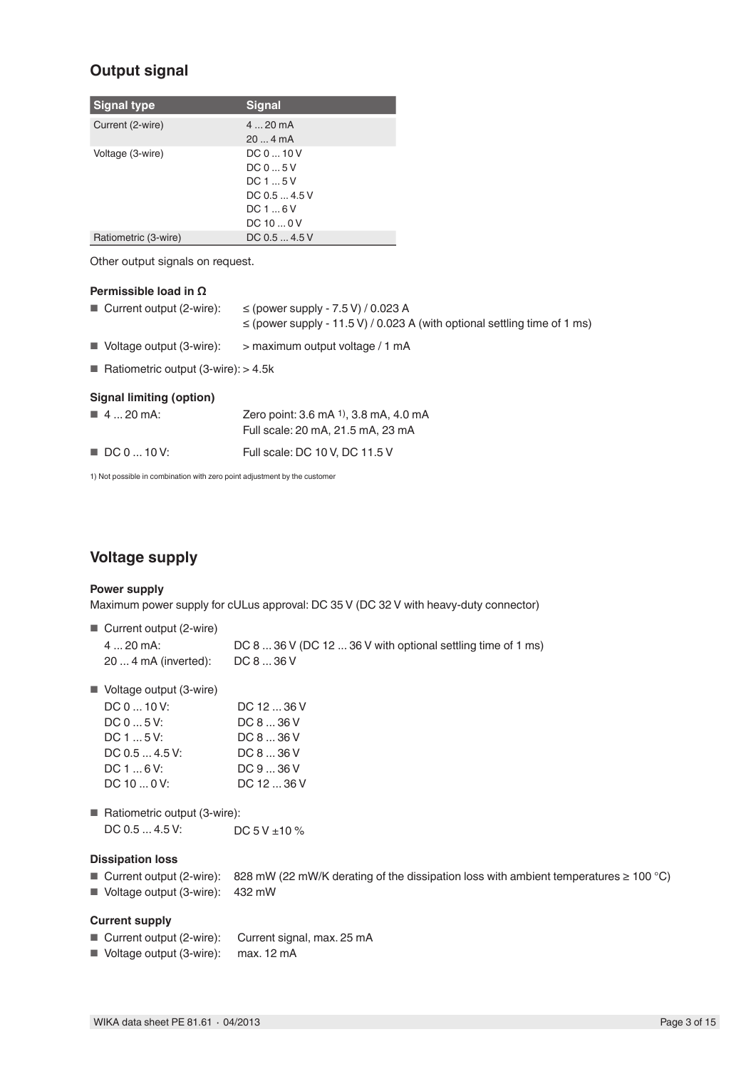# **Output signal**

| <b>Signal type</b>   | <b>Signal</b> |
|----------------------|---------------|
| Current (2-wire)     | $420$ mA      |
|                      | 204mA         |
| Voltage (3-wire)     | DC010V        |
|                      | DC05V         |
|                      | DC15V         |
|                      | DC 0.5  4.5 V |
|                      | DC16V         |
|                      | DC 10  0 V    |
| Ratiometric (3-wire) | DC 0.5  4.5 V |

Other output signals on request.

### **Permissible load in Ω**

| $\blacksquare$ Current output (2-wire):         | $\le$ (power supply - 7.5 V) / 0.023 A<br>$\le$ (power supply - 11.5 V) / 0.023 A (with optional settling time of 1 ms) |
|-------------------------------------------------|-------------------------------------------------------------------------------------------------------------------------|
| $\blacksquare$ Voltage output (3-wire):         | > maximum output voltage / 1 mA                                                                                         |
| ■ Ratiometric output $(3\text{-wire})$ : > 4.5k |                                                                                                                         |
| <b>Signal limiting (option)</b>                 |                                                                                                                         |
| $\blacksquare$ 4  20 mA:                        | Zero point: 3.6 mA 1), 3.8 mA, 4.0 mA                                                                                   |
|                                                 | Full scale: 20 mA, 21.5 mA, 23 mA                                                                                       |

| $\blacksquare$ DC 0  10 V: | Full scale: DC 10 V, DC 11.5 V |
|----------------------------|--------------------------------|
|                            |                                |

1) Not possible in combination with zero point adjustment by the customer

# **Voltage supply**

### **Power supply**

Maximum power supply for cULus approval: DC 35 V (DC 32 V with heavy-duty connector)

| $\blacksquare$ Current output (2-wire) |                                                              |
|----------------------------------------|--------------------------------------------------------------|
| 4  20 mA:                              | DC 8  36 V (DC 12  36 V with optional settling time of 1 ms) |
| 20  4 mA (inverted):                   | DC 8  36 V                                                   |

■ Voltage output (3-wire)

| DC 0  10 V:    | DC 12  36 V |
|----------------|-------------|
| DC 0  5 V:     | DC 8  36 V  |
| DC 1  5 V:     | DC 8  36 V  |
| DC 0.5  4.5 V: | DC 8  36 V  |
| DC 1  6 V:     | DC936V      |
| DC 10  0 V:    | DC 12  36 V |
|                |             |

■ Ratiometric output (3-wire): DC  $0.5$  ... 4.5 V: DC  $5$  V  $\pm$ 10 %

## **Dissipation loss**

■ Current output (2-wire): 828 mW (22 mW/K derating of the dissipation loss with ambient temperatures ≥ 100 °C) ■ Voltage output (3-wire): 432 mW

### **Current supply**

- Current output (2-wire): Current signal, max. 25 mA
- Voltage output (3-wire): max. 12 mA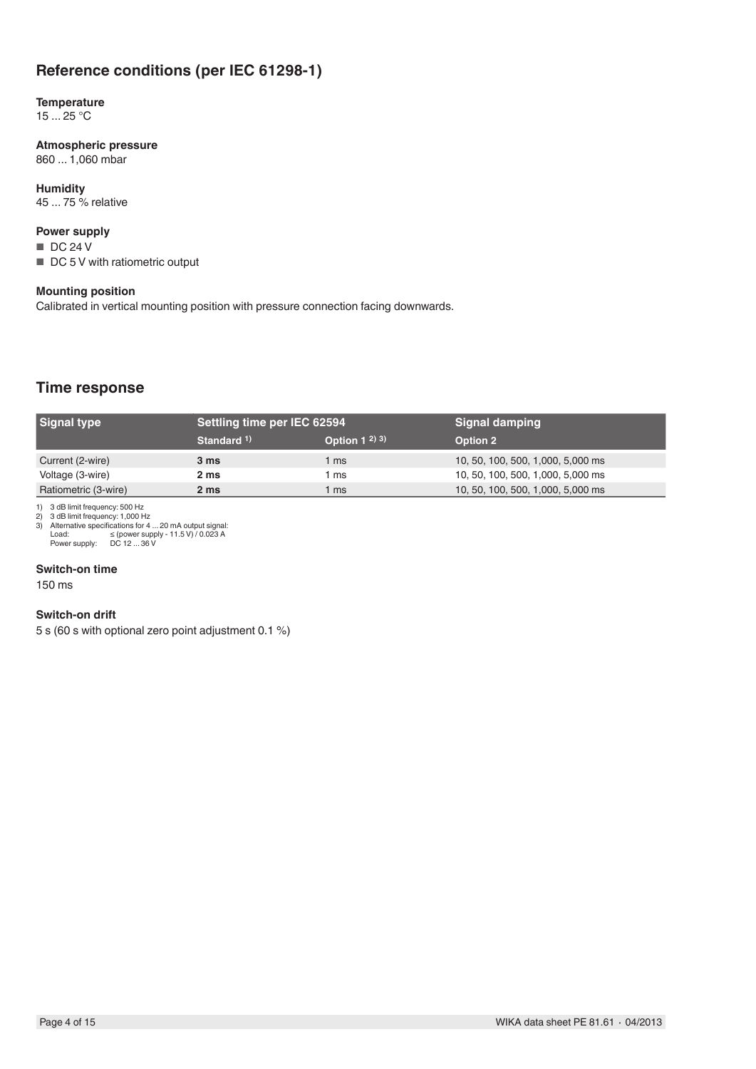# **Reference conditions (per IEC 61298-1)**

#### **Temperature**  $15 \dots 25$  °C

**Atmospheric pressure** 860 ... 1,060 mbar

**Humidity** 45 ... 75 % relative

## **Power supply**

■ DC 24 V

■ DC 5 V with ratiometric output

### **Mounting position**

Calibrated in vertical mounting position with pressure connection facing downwards.

# **Time response**

| <b>Signal type</b>   | Settling time per IEC 62594 |                   | <b>Signal damping</b>             |
|----------------------|-----------------------------|-------------------|-----------------------------------|
|                      | Standard 1)                 | Option $1^{2}$ 3) | <b>Option 2</b>                   |
| Current (2-wire)     | 3 ms                        | ms                | 10, 50, 100, 500, 1,000, 5,000 ms |
| Voltage (3-wire)     | 2 ms                        | ms                | 10, 50, 100, 500, 1,000, 5,000 ms |
| Ratiometric (3-wire) | 2 <sub>ms</sub>             | ms                | 10, 50, 100, 500, 1,000, 5,000 ms |

1) 3 dB limit frequency: 500 Hz 2) 3 dB limit frequency: 1,000 Hz 3) Alternative specifications for 4 ... 20 mA output signal: Load: ≤ (power supply - 11.5 V) / 0.023 A Power supply: DC 12 ... 36 V

#### **Switch-on time**

150 ms

#### **Switch-on drift**

5 s (60 s with optional zero point adjustment 0.1 %)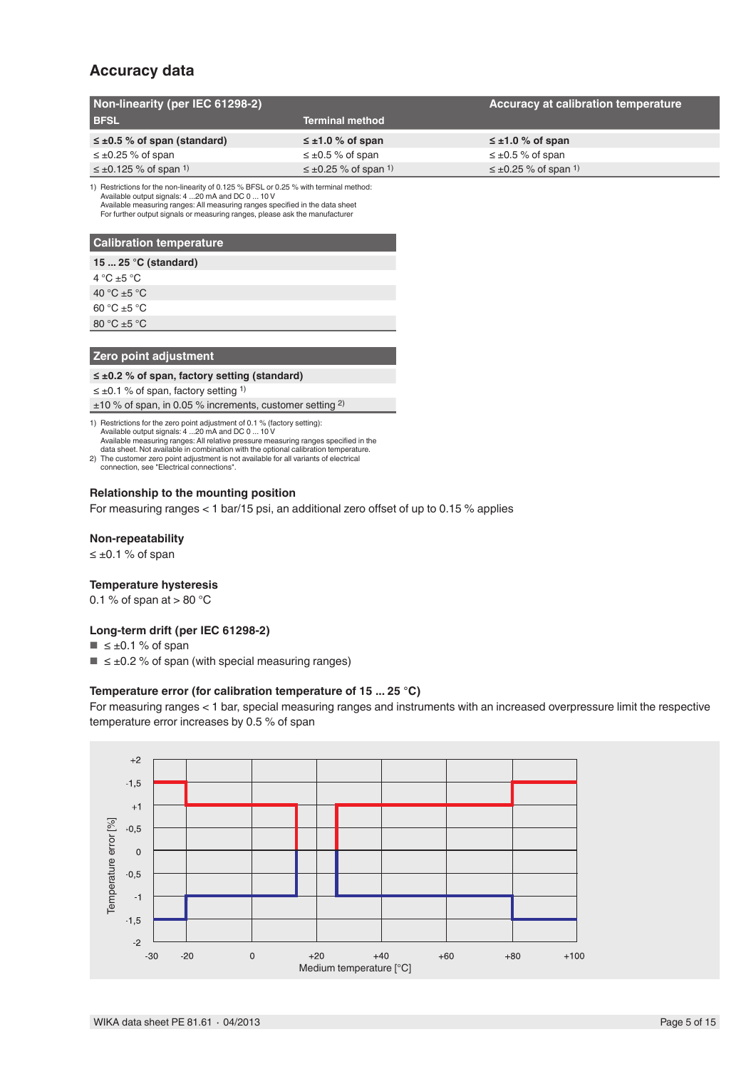# **Accuracy data**

| Non-linearity (per IEC 61298-2)          |                                         | Accuracy at calibration temperature     |
|------------------------------------------|-----------------------------------------|-----------------------------------------|
| <b>BFSL</b>                              | <b>Terminal method</b>                  |                                         |
| $\leq \pm 0.5$ % of span (standard)      | $\leq \pm 1.0$ % of span                | $\leq \pm 1.0$ % of span                |
| $\leq \pm 0.25$ % of span                | $\leq \pm 0.5$ % of span                | $\leq \pm 0.5$ % of span                |
| $\leq \pm 0.125$ % of span <sup>1)</sup> | $\leq \pm 0.25$ % of span <sup>1)</sup> | $\leq \pm 0.25$ % of span <sup>1)</sup> |

1) Restrictions for the non-linearity of 0.125 % BFSL or 0.25 % with terminal method:<br>Available output signals: 4 ...20 mA and DC 0 ... 10 V<br>Available measuring ranges: All measuring ranges specified in the data sheet For further output signals or measuring ranges, please ask the manufacturer

## **Calibration temperature**

| sansration temperature |
|------------------------|
| 15 $25 °C$ (standard)  |
| 4 °C $\pm$ 5 °C        |
| 40 °C $\pm$ 5 °C       |
| $60 °C + 5 °C$         |
| 80 °C $\pm$ 5 °C       |

### **Zero point adjustment**

## **≤ ±0.2 % of span, factory setting (standard)**

≤ ±0.1 % of span, factory setting 1)

±10 % of span, in 0.05 % increments, customer setting 2)

1) Restrictions for the zero point adjustment of 0.1 % (factory setting): Available output signals: 4 ...20 mA and DC 0 ... 10 V Available measuring ranges: All relative pressure measuring ranges specified in the data sheet. Not available in combination with the optional calibration temperature.

2) The customer zero point adjustment is not available for all variants of electrical connection, see "Electrical connections".

#### **Relationship to the mounting position**

For measuring ranges < 1 bar/15 psi, an additional zero offset of up to 0.15 % applies

#### **Non-repeatability**

≤ ±0.1 % of span

#### **Temperature hysteresis**

0.1 % of span at  $> 80$  °C

### **Long-term drift (per IEC 61298-2)**

- $\blacksquare$   $\leq \pm 0.1$  % of span
- $\blacksquare$   $\leq \pm 0.2$  % of span (with special measuring ranges)

#### **Temperature error (for calibration temperature of 15 ... 25 °C)**

For measuring ranges < 1 bar, special measuring ranges and instruments with an increased overpressure limit the respective temperature error increases by 0.5 % of span

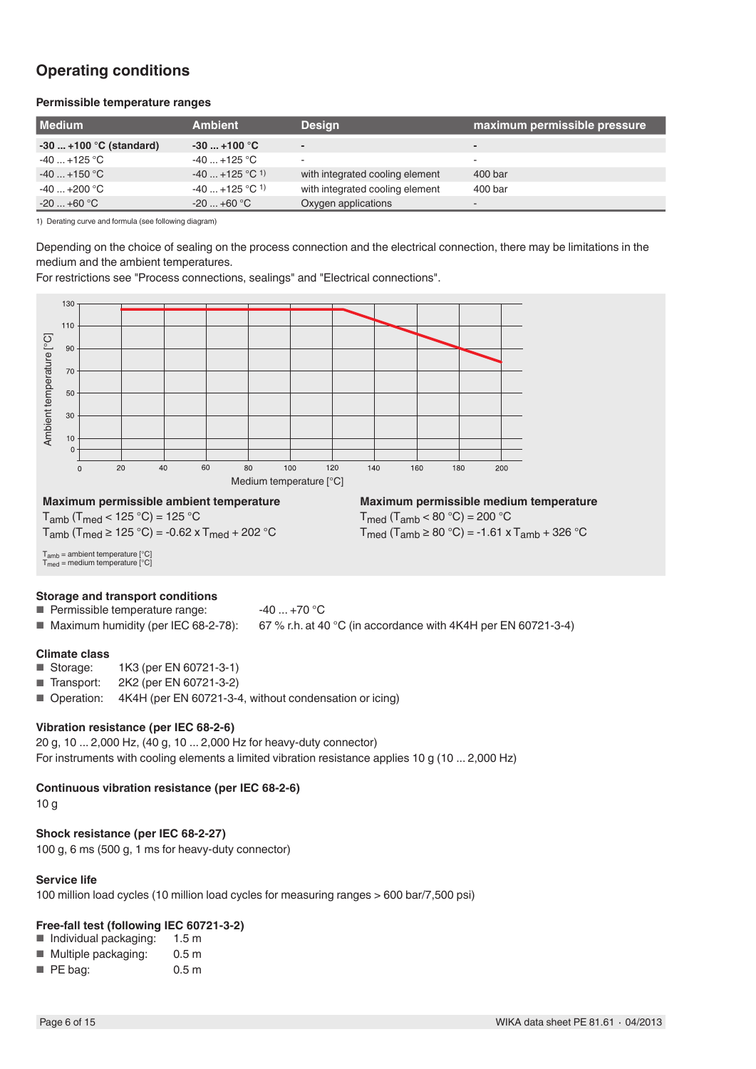# **Operating conditions**

### **Permissible temperature ranges**

| <b>Medium</b>                       | <b>Ambient</b>              | <b>Design</b>                   | maximum permissible pressure |
|-------------------------------------|-----------------------------|---------------------------------|------------------------------|
| $-30$ +100 °C (standard)            | $-30$ +100 °C               | $\overline{\phantom{0}}$        | -                            |
| $-40+125\text{ }^{\circ}\mathrm{C}$ | $-40+125$ °C                | $\overline{\phantom{a}}$        | -                            |
| $-40+150$ °C                        | $-40+125$ °C <sup>1</sup> ) | with integrated cooling element | 400 bar                      |
| $-40+200$ °C                        | $-40+125$ °C <sup>1</sup> ) | with integrated cooling element | 400 bar                      |
| $-20+60$ °C                         | $-20+60$ °C                 | Oxygen applications             | -                            |

1) Derating curve and formula (see following diagram)

Depending on the choice of sealing on the process connection and the electrical connection, there may be limitations in the medium and the ambient temperatures.

For restrictions see "Process connections, sealings" and "Electrical connections".



#### **Vibration resistance (per IEC 68-2-6)**

20 g, 10 ... 2,000 Hz, (40 g, 10 ... 2,000 Hz for heavy-duty connector) For instruments with cooling elements a limited vibration resistance applies 10 g (10 ... 2,000 Hz)

## **Continuous vibration resistance (per IEC 68-2-6)**

10 g

## **Shock resistance (per IEC 68-2-27)**

100 g, 6 ms (500 g, 1 ms for heavy-duty connector)

## **Service life**

100 million load cycles (10 million load cycles for measuring ranges > 600 bar/7,500 psi)

## **Free-fall test (following IEC 60721-3-2)**

■ Individual packaging:  $1.5 \text{ m}$ <br>■ Multiple packaging:  $0.5 \text{ m}$ 

| Multiple packaging: | 0.5 <sub>m</sub> |
|---------------------|------------------|
| PE bag:             | 0.5 <sub>m</sub> |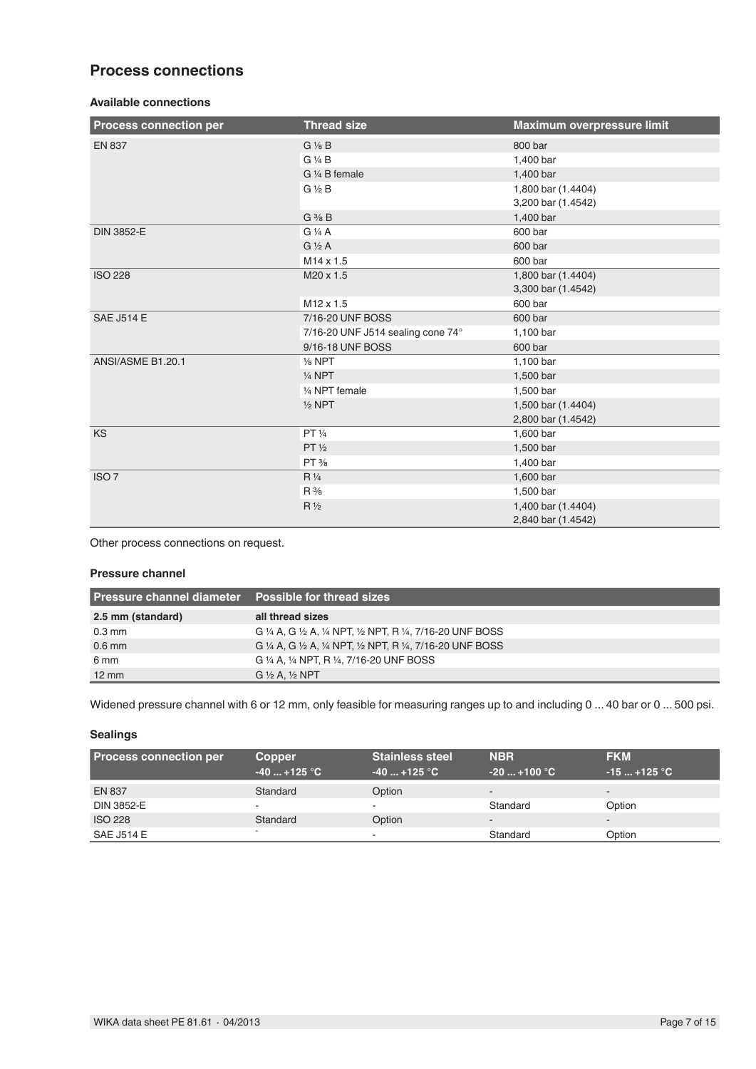# **Process connections**

## **Available connections**

| <b>Process connection per</b> | <b>Thread size</b>                | Maximum overpressure limit |
|-------------------------------|-----------------------------------|----------------------------|
| <b>EN 837</b>                 | $G\frac{1}{8}B$                   | 800 bar                    |
|                               | G 1/4 B                           | 1,400 bar                  |
|                               | G 1/4 B female                    | 1,400 bar                  |
|                               | $G\frac{1}{2}B$                   | 1,800 bar (1.4404)         |
|                               |                                   | 3,200 bar (1.4542)         |
|                               | $G \frac{3}{8} B$                 | 1,400 bar                  |
| <b>DIN 3852-E</b>             | $G\frac{1}{4}A$                   | 600 bar                    |
|                               | $G\frac{1}{2}A$                   | 600 bar                    |
|                               | M <sub>14</sub> x 1.5             | 600 bar                    |
| <b>ISO 228</b>                | M20 x 1.5                         | 1,800 bar (1.4404)         |
|                               |                                   | 3,300 bar (1.4542)         |
|                               | $M12 \times 1.5$                  | 600 bar                    |
| <b>SAE J514 E</b>             | 7/16-20 UNF BOSS                  | 600 bar                    |
|                               | 7/16-20 UNF J514 sealing cone 74° | 1,100 bar                  |
|                               | 9/16-18 UNF BOSS                  | 600 bar                    |
| ANSI/ASME B1.20.1             | $\frac{1}{8}$ NPT                 | 1,100 bar                  |
|                               | $1/4$ NPT                         | 1,500 bar                  |
|                               | 1/4 NPT female                    | 1,500 bar                  |
|                               | $1/2$ NPT                         | 1,500 bar (1.4404)         |
|                               |                                   | 2,800 bar (1.4542)         |
| <b>KS</b>                     | PT 1/4                            | 1,600 bar                  |
|                               | PT <sup>1</sup> / <sub>2</sub>    | 1,500 bar                  |
|                               | $PT$ %                            | 1,400 bar                  |
| ISO <sub>7</sub>              | $R\frac{1}{4}$                    | 1,600 bar                  |
|                               | $R\frac{3}{8}$                    | 1,500 bar                  |
|                               | $R\frac{1}{2}$                    | 1,400 bar (1.4404)         |
|                               |                                   | 2,840 bar (1.4542)         |

Other process connections on request.

#### **Pressure channel**

| <b>Pressure channel diameter</b> Possible for thread sizes |                                                             |
|------------------------------------------------------------|-------------------------------------------------------------|
| 2.5 mm (standard)                                          | all thread sizes                                            |
| $0.3 \text{ mm}$                                           | G ¼ A, G ½ A, ¼ NPT, ½ NPT, R ¼, 7/16-20 UNF BOSS           |
| $0.6$ mm                                                   | G 1/4 A, G 1/2 A, 1/4 NPT, 1/2 NPT, R 1/4, 7/16-20 UNF BOSS |
| 6 mm                                                       | G 1/4 A, 1/4 NPT, R 1/4, 7/16-20 UNF BOSS                   |
| $12 \text{ mm}$                                            | $G\frac{1}{2}A. \frac{1}{2}NPT$                             |

Widened pressure channel with 6 or 12 mm, only feasible for measuring ranges up to and including 0 ... 40 bar or 0 ... 500 psi.

## **Sealings**

| <b>Process connection per</b> | <b>Copper</b><br>$-40$ +125 $^{\circ}$ C | <b>Stainless steel</b><br>$-40+125$ °C | <b>NBR</b><br>$-20+100\,\degree \text{C}$ | <b>FKM</b><br>$-15$ +125 $^{\circ}$ C $^{-}$ |
|-------------------------------|------------------------------------------|----------------------------------------|-------------------------------------------|----------------------------------------------|
| <b>EN 837</b>                 | Standard                                 | Option                                 | $\sim$                                    | $\overline{\phantom{a}}$                     |
| DIN 3852-E                    |                                          |                                        | Standard                                  | Option                                       |
| <b>ISO 228</b>                | Standard                                 | Option                                 | $\sim$                                    | $\overline{\phantom{a}}$                     |
| <b>SAE J514 E</b>             |                                          | -                                      | Standard                                  | Option                                       |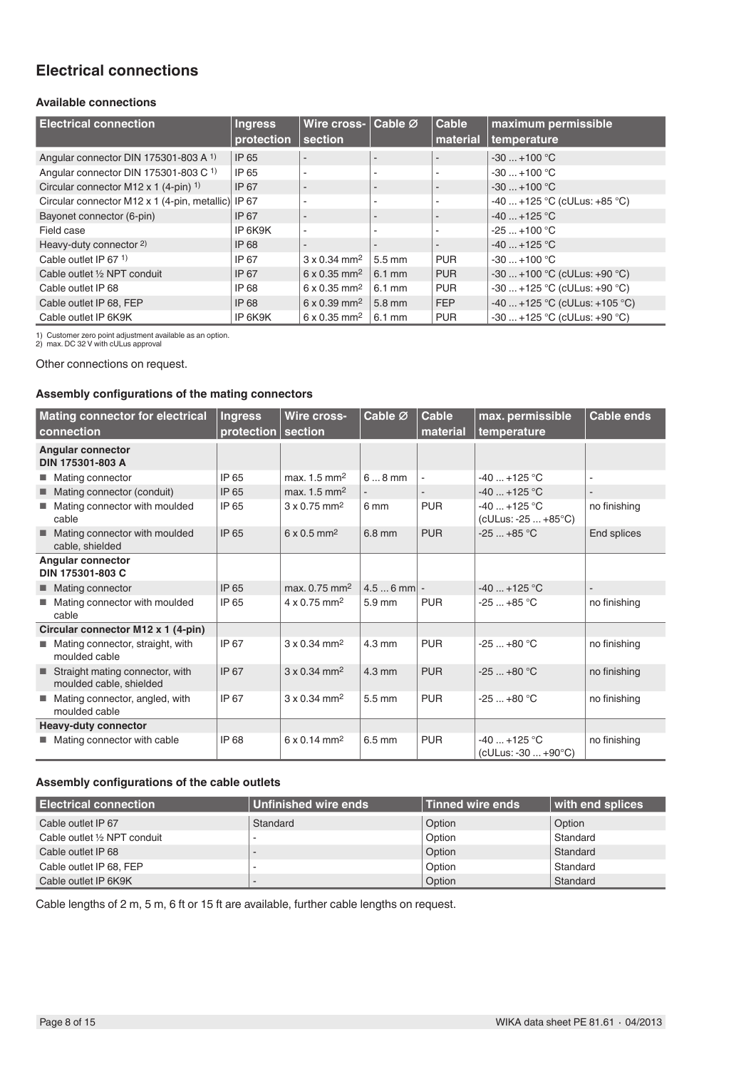# **Electrical connections**

## **Available connections**

| <b>Electrical connection</b>                       | <b>Ingress</b><br>protection | Wire cross-<br>section          | Cable Ø                  | <b>Cable</b><br>material | maximum permissible<br>temperature |
|----------------------------------------------------|------------------------------|---------------------------------|--------------------------|--------------------------|------------------------------------|
|                                                    |                              |                                 |                          |                          |                                    |
| Angular connector DIN 175301-803 A 1)              | IP 65                        |                                 |                          |                          | $-30+100$ °C                       |
| Angular connector DIN 175301-803 C 1)              | IP 65                        |                                 | ۰                        | ٠                        | $-30+100$ °C                       |
| Circular connector M12 x 1 $(4-\pi)^{-1}$          | IP 67                        |                                 | $\overline{\phantom{a}}$ | ٠                        | $-30+100$ °C                       |
| Circular connector M12 x 1 (4-pin, metallic) IP 67 |                              |                                 | ٠                        | $\overline{\phantom{a}}$ | $-40$ +125 °C (cULus: +85 °C)      |
| Bayonet connector (6-pin)                          | IP 67                        |                                 | $\overline{\phantom{0}}$ | ٠                        | $-40+125$ °C                       |
| Field case                                         | IP 6K9K                      | $\sim$                          | ۰                        | ٠                        | $-25+100 °C$                       |
| Heavy-duty connector 2)                            | <b>IP 68</b>                 |                                 | $\overline{\phantom{a}}$ | ۰                        | $-40+125$ °C                       |
| Cable outlet IP 67 $1$ )                           | IP 67                        | $3 \times 0.34$ mm <sup>2</sup> | $5.5 \text{ mm}$         | <b>PUR</b>               | $-30+100$ °C                       |
| Cable outlet 1/2 NPT conduit                       | IP 67                        | $6 \times 0.35$ mm <sup>2</sup> | $6.1 \text{ mm}$         | <b>PUR</b>               | $-30+100$ °C (cULus: +90 °C)       |
| Cable outlet IP 68                                 | IP 68                        | $6 \times 0.35$ mm <sup>2</sup> | $6.1 \text{ mm}$         | <b>PUR</b>               | $-30+125$ °C (cULus: +90 °C)       |
| Cable outlet IP 68, FEP                            | IP 68                        | $6 \times 0.39$ mm <sup>2</sup> | 5.8 mm                   | <b>FEP</b>               | $-40+125$ °C (cULus: +105 °C)      |
| Cable outlet IP 6K9K                               | IP 6K9K                      | $6 \times 0.35$ mm <sup>2</sup> | $6.1 \text{ mm}$         | <b>PUR</b>               | $-30+125$ °C (cULus: +90 °C)       |

1) Customer zero point adjustment available as an option. 2) max. DC 32 V with cULus approval

Other connections on request.

### **Assembly configurations of the mating connectors**

|    | <b>Mating connector for electrical</b><br>connection       | <b>Ingress</b><br>protection | Wire cross-<br>section          | Cable Ø             | <b>Cable</b><br>material | max. permissible<br>temperature       | <b>Cable ends</b> |
|----|------------------------------------------------------------|------------------------------|---------------------------------|---------------------|--------------------------|---------------------------------------|-------------------|
|    | <b>Angular connector</b><br>DIN 175301-803 A               |                              |                                 |                     |                          |                                       |                   |
|    | ■ Mating connector                                         | IP 65                        | max. $1.5 \text{ mm}^2$         | $68$ mm             |                          | $-40+125$ °C                          |                   |
|    | ■ Mating connector (conduit)                               | IP 65                        | max. $1.5 \text{ mm}^2$         |                     |                          | $-40+125$ °C                          |                   |
| m. | Mating connector with moulded<br>cable                     | IP 65                        | $3 \times 0.75$ mm <sup>2</sup> | 6 mm                | <b>PUR</b>               | $-40+125$ °C<br>(cULus: -25  +85°C)   | no finishing      |
|    | Mating connector with moulded<br>cable, shielded           | IP 65                        | $6 \times 0.5$ mm <sup>2</sup>  | $6.8$ mm            | <b>PUR</b>               | $-25+85$ °C                           | End splices       |
|    | Angular connector<br>DIN 175301-803 C                      |                              |                                 |                     |                          |                                       |                   |
|    | ■ Mating connector                                         | IP 65                        | max, 0.75 mm <sup>2</sup>       | $4.56$ mm $\vert$ - |                          | $-40+125$ °C                          |                   |
|    | ■ Mating connector with moulded<br>cable                   | IP 65                        | $4 \times 0.75$ mm <sup>2</sup> | $5.9$ mm            | <b>PUR</b>               | $-25+85$ °C                           | no finishing      |
|    | Circular connector M12 x 1 (4-pin)                         |                              |                                 |                     |                          |                                       |                   |
|    | Mating connector, straight, with<br>moulded cable          | IP 67                        | $3 \times 0.34$ mm <sup>2</sup> | $4.3 \text{ mm}$    | <b>PUR</b>               | $-25+80 °C$                           | no finishing      |
|    | Straight mating connector, with<br>moulded cable, shielded | IP 67                        | $3 \times 0.34$ mm <sup>2</sup> | $4.3 \text{ mm}$    | <b>PUR</b>               | $-25+80 °C$                           | no finishing      |
|    | Mating connector, angled, with<br>moulded cable            | IP 67                        | $3 \times 0.34$ mm <sup>2</sup> | 5.5 mm              | <b>PUR</b>               | $-25+80 °C$                           | no finishing      |
|    | <b>Heavy-duty connector</b>                                |                              |                                 |                     |                          |                                       |                   |
|    | ■ Mating connector with cable                              | IP 68                        | $6 \times 0.14$ mm <sup>2</sup> | $6.5 \text{ mm}$    | <b>PUR</b>               | $-40+125$ °C<br>$(cULus: -30  +90°C)$ | no finishing      |

## **Assembly configurations of the cable outlets**

| <b>Electrical connection</b> | Unfinished wire ends | <b>Tinned wire ends</b> | with end splices |
|------------------------------|----------------------|-------------------------|------------------|
| Cable outlet IP 67           | Standard             | Option                  | Option           |
| Cable outlet 1/2 NPT conduit |                      | Option                  | Standard         |
| Cable outlet IP 68           |                      | Option                  | Standard         |
| Cable outlet IP 68, FEP      |                      | Option                  | Standard         |
| Cable outlet IP 6K9K         |                      | Option                  | Standard         |

Cable lengths of 2 m, 5 m, 6 ft or 15 ft are available, further cable lengths on request.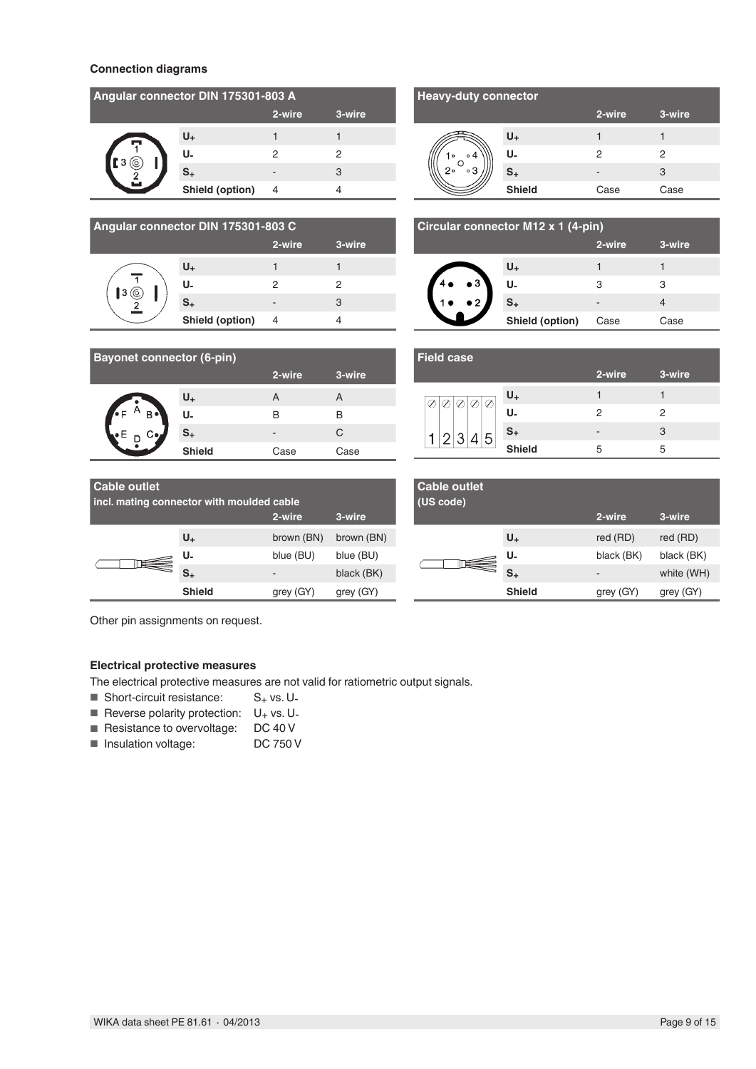### **Connection diagrams**

| Angular connector DIN 175301-803 A |                 |        |        |  |
|------------------------------------|-----------------|--------|--------|--|
|                                    |                 | 2-wire | 3-wire |  |
|                                    | U <sub>+</sub>  |        |        |  |
|                                    | U.              | 2      |        |  |
|                                    | S <sub>+</sub>  |        | 3      |  |
|                                    | Shield (option) |        |        |  |

| Angular connector DIN 175301-803 C |                 |        |        |  |
|------------------------------------|-----------------|--------|--------|--|
|                                    |                 | 2-wire | 3-wire |  |
|                                    | U+              |        |        |  |
|                                    | U-              | 2      | 2      |  |
|                                    | S <sub>+</sub>  | -      | 3      |  |
|                                    | Shield (option) |        |        |  |

| <b>Heavy-duty connector</b> |               |        |        |  |  |
|-----------------------------|---------------|--------|--------|--|--|
|                             |               | 2-wire | 3-wire |  |  |
|                             | $U_{+}$       |        |        |  |  |
| $\circ$                     | U.            | 2      | 2      |  |  |
| 2۰<br>۰3                    | $S_{+}$       |        | З      |  |  |
|                             | <b>Shield</b> | Case   | Case   |  |  |

| Circular connector M12 x 1 (4-pin) |                 |        |        |  |
|------------------------------------|-----------------|--------|--------|--|
|                                    |                 | 2-wire | 3-wire |  |
|                                    | U+              |        |        |  |
| $\bullet$ 3                        | U-              | З      | З      |  |
| 2 <sup>2</sup>                     | $S_{+}$         | -      |        |  |
|                                    | Shield (option) | Case   | Case   |  |

| <b>Bayonet connector (6-pin)</b> |               |        |        |  |
|----------------------------------|---------------|--------|--------|--|
|                                  |               | 2-wire | 3-wire |  |
|                                  | U+            | А      | A      |  |
| $\overline{\cdot}$<br>B.         | U-            | в      | в      |  |
| С•,                              | $S_{+}$       | -      | C      |  |
|                                  | <b>Shield</b> | Case   | Case   |  |

|                     | $U_{+}$       |    |   |  |
|---------------------|---------------|----|---|--|
|                     | U.            | 2  | ႒ |  |
|                     | $S_{+}$       | -  | 3 |  |
|                     | <b>Shield</b> | .h | 5 |  |
|                     |               |    |   |  |
| <b>Cable outlet</b> |               |    |   |  |

**2-wire 3-wire**

**Field case**

| <b>Cable outlet</b><br>incl. mating connector with moulded cable |               |            |            |  |
|------------------------------------------------------------------|---------------|------------|------------|--|
|                                                                  |               | 2-wire     | 3-wire     |  |
|                                                                  | $U_{+}$       | brown (BN) | brown (BN) |  |
|                                                                  | U.            | blue (BU)  | blue (BU)  |  |
|                                                                  | S+            | -          | black (BK) |  |
|                                                                  | <b>Shield</b> | grey       | grey       |  |

| <b>Cable outlet</b><br>(US code) |               |                          |            |
|----------------------------------|---------------|--------------------------|------------|
|                                  |               | 2-wire                   | 3-wire     |
|                                  | $U_{+}$       | red (RD)                 | red (RD)   |
|                                  | U.            | black (BK)               | black (BK) |
|                                  | S+            | $\overline{\phantom{a}}$ | white (WH) |
|                                  | <b>Shield</b> | grey (GY)                | grey (GY)  |

Other pin assignments on request.

### **Electrical protective measures**

The electrical protective measures are not valid for ratiometric output signals.

- Short-circuit resistance:  $S_+$  vs. U-
- Reverse polarity protection:  $U_+$  vs.  $U_-$
- Resistance to overvoltage: DC 40 V
- Insulation voltage: DC 750 V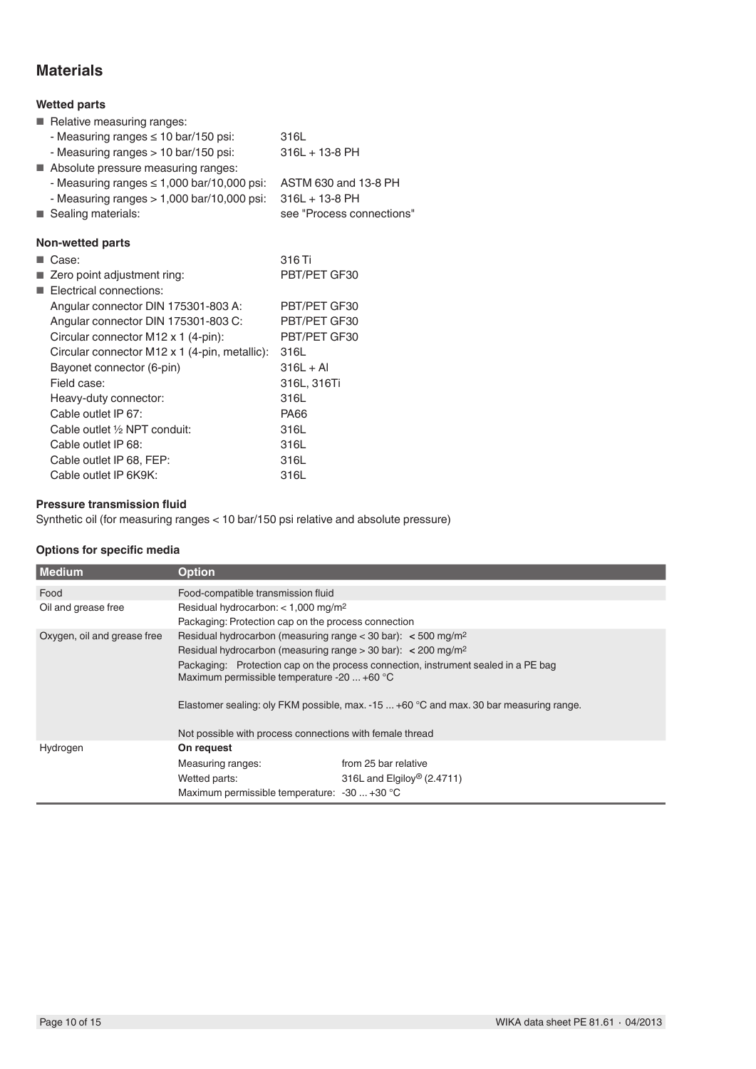# **Materials**

# **Wetted parts**

|         | <b>WELLEY DAILS</b>                             |                           |
|---------|-------------------------------------------------|---------------------------|
|         | Relative measuring ranges:                      |                           |
|         | - Measuring ranges $\leq 10$ bar/150 psi:       | 316L                      |
|         | - Measuring ranges > 10 bar/150 psi:            | $316L + 13-8PH$           |
|         | Absolute pressure measuring ranges:             |                           |
|         | - Measuring ranges $\leq 1,000$ bar/10,000 psi: | ASTM 630 and 13-8 PH      |
|         | - Measuring ranges $> 1,000$ bar/10,000 psi:    | $316L + 13-8PH$           |
|         | ■ Sealing materials:                            | see "Process connections" |
|         | <b>Non-wetted parts</b>                         |                           |
| a sa ta | Case:                                           | 316 Ti                    |
|         | ■ Zero point adjustment ring:                   | PBT/PET GF30              |
|         | Electrical connections:                         |                           |
|         | Angular connector DIN 175301-803 A:             | PBT/PET GF30              |
|         | Angular connector DIN 175301-803 C:             | PBT/PET GF30              |
|         | Circular connector M12 x 1 (4-pin):             | PBT/PET GF30              |
|         | Circular connector M12 x 1 (4-pin, metallic):   | 316L                      |
|         | Bayonet connector (6-pin)                       | $316L + Al$               |
|         | Field case:                                     | 316L, 316Ti               |
|         | Heavy-duty connector:                           | 316L                      |
|         | Cable outlet IP 67:                             | <b>PA66</b>               |
|         | Cable outlet 1/2 NPT conduit:                   | 316L                      |
|         | Cable outlet IP 68:                             | 316L                      |
|         | Cable outlet IP 68, FEP:                        | 316L                      |
|         | Cable outlet IP 6K9K:                           | 316L                      |

## **Pressure transmission fluid**

Synthetic oil (for measuring ranges < 10 bar/150 psi relative and absolute pressure)

## **Options for specific media**

| Medium                      | <b>Option</b>                                                                                                                            |                                        |  |
|-----------------------------|------------------------------------------------------------------------------------------------------------------------------------------|----------------------------------------|--|
| Food                        | Food-compatible transmission fluid                                                                                                       |                                        |  |
| Oil and grease free         | Residual hydrocarbon: $<$ 1,000 mg/m <sup>2</sup>                                                                                        |                                        |  |
|                             | Packaging: Protection cap on the process connection                                                                                      |                                        |  |
| Oxygen, oil and grease free | Residual hydrocarbon (measuring range $<$ 30 bar): $<$ 500 mg/m <sup>2</sup>                                                             |                                        |  |
|                             | Residual hydrocarbon (measuring range $>$ 30 bar): < 200 mg/m <sup>2</sup>                                                               |                                        |  |
|                             | Packaging: Protection cap on the process connection, instrument sealed in a PE bag<br>Maximum permissible temperature -20 $\dots$ +60 °C |                                        |  |
|                             | Elastomer sealing: oly FKM possible, max. -15 $\dots$ +60 °C and max. 30 bar measuring range.                                            |                                        |  |
|                             | Not possible with process connections with female thread                                                                                 |                                        |  |
| Hydrogen                    | On request                                                                                                                               |                                        |  |
|                             | Measuring ranges:                                                                                                                        | from 25 bar relative                   |  |
|                             | Wetted parts:                                                                                                                            | 316L and Elgiloy <sup>®</sup> (2.4711) |  |
|                             | Maximum permissible temperature: -30  +30 °C                                                                                             |                                        |  |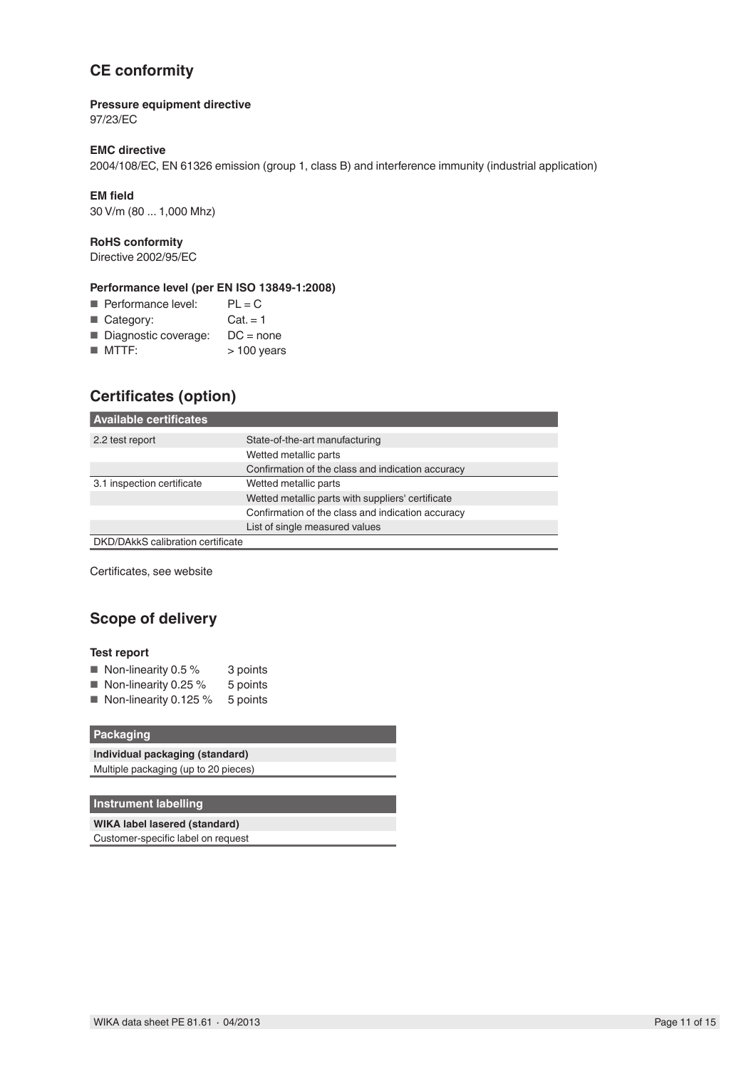# **CE conformity**

### **Pressure equipment directive**

97/23/EC

### **EMC directive**

2004/108/EC, EN 61326 emission (group 1, class B) and interference immunity (industrial application)

### **EM field**

30 V/m (80 ... 1,000 Mhz)

### **RoHS conformity**

Directive 2002/95/EC

## **Performance level (per EN ISO 13849-1:2008)**

| Performance level:   | $PL = C$     |
|----------------------|--------------|
| Category:            | $Cat = 1$    |
| Diagnostic coverage: | $DC = none$  |
| $M$ MTTF:            | $>100$ years |

# **Certificates (option)**

| l Available certificates          |                                                   |
|-----------------------------------|---------------------------------------------------|
| 2.2 test report                   | State-of-the-art manufacturing                    |
|                                   | Wetted metallic parts                             |
|                                   | Confirmation of the class and indication accuracy |
| 3.1 inspection certificate        | Wetted metallic parts                             |
|                                   | Wetted metallic parts with suppliers' certificate |
|                                   | Confirmation of the class and indication accuracy |
|                                   | List of single measured values                    |
| DKD/DAkkS calibration certificate |                                                   |
|                                   |                                                   |

Certificates, see website

# **Scope of delivery**

### **Test report**

| Non-linearity 0.5 % | 3 points |
|---------------------|----------|
|---------------------|----------|

- Non-linearity 0.25 % 5 points
- Non-linearity 0.125 % 5 points

### **Packaging**

| Individual packaging (standard)      |
|--------------------------------------|
| Multiple packaging (up to 20 pieces) |

## **Instrument labelling**

**WIKA label lasered (standard)** Customer-specific label on request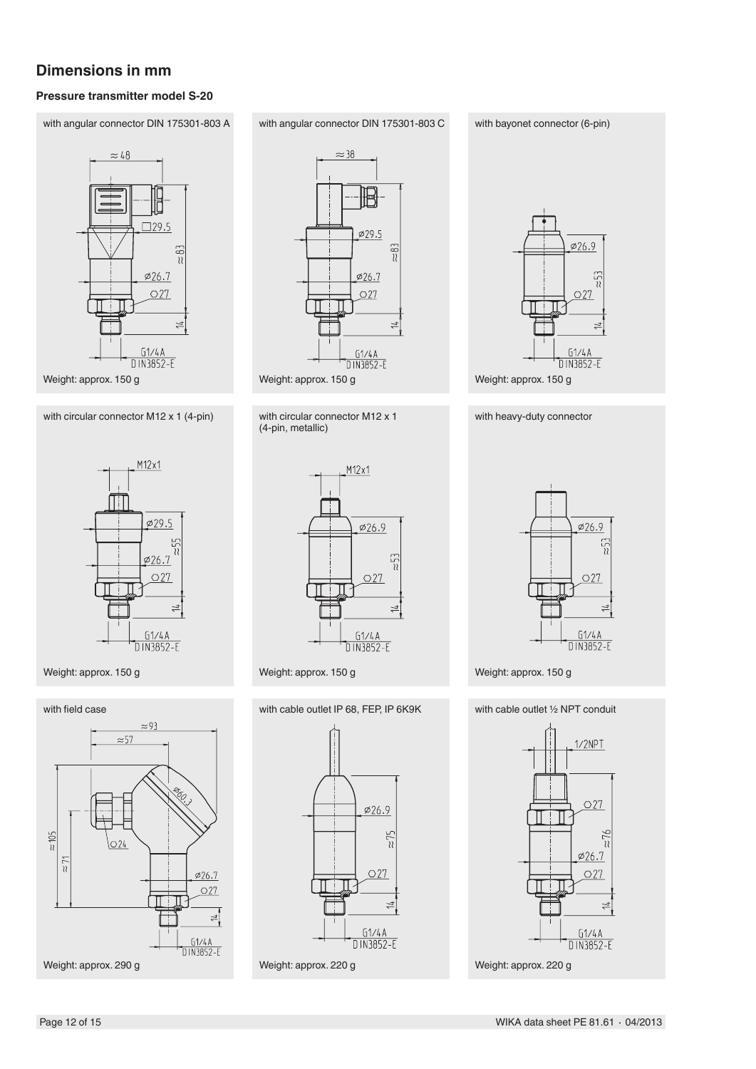# **Dimensions in mm**

## **Pressure transmitter model S-20**

with angular connector DIN 175301-803 A



Weight: approx. 150 g

with circular connector M12 x 1 (4-pin)



## Weight: approx. 150 g





with circular connector M12 x 1 (4-pin, metallic)



Weight: approx. 150 g

with cable outlet IP 68, FEP, IP 6K9K



#### with bayonet connector (6-pin)



with heavy-duty connector

 $\phi$ 26.9  $\frac{1}{2}$  $O<sub>27</sub>$  $\frac{61/4A}{D1N3852-E}$ 

Weight: approx. 150 g

with cable outlet ½ NPT conduit



Weight: approx. 220 g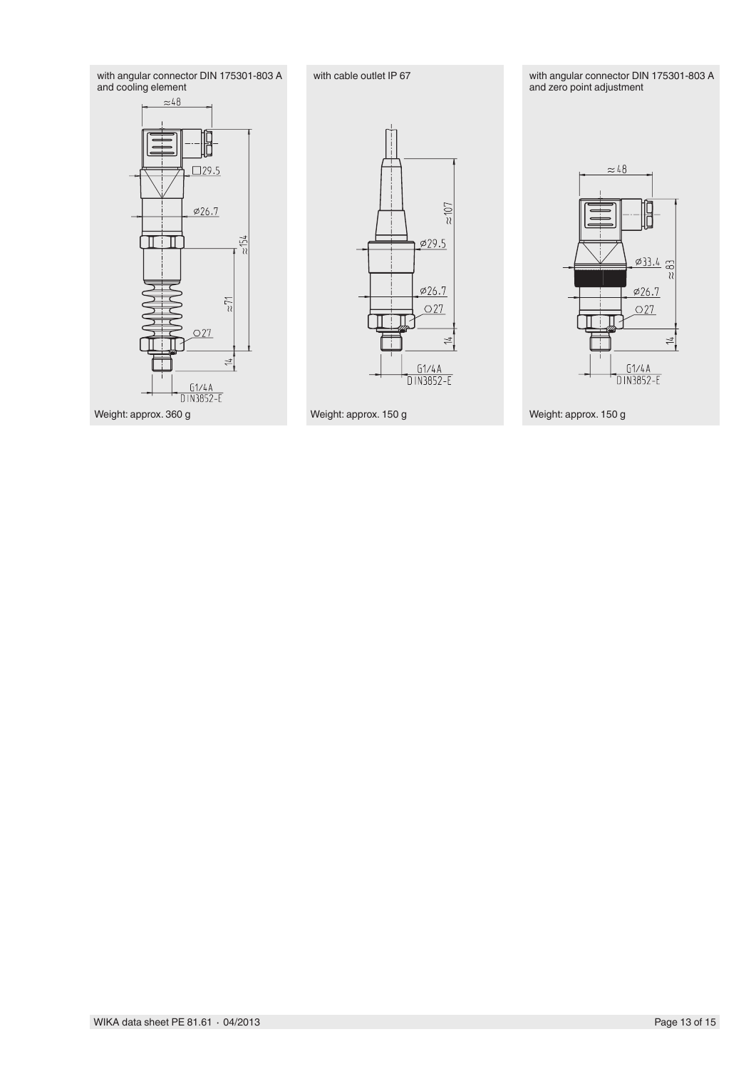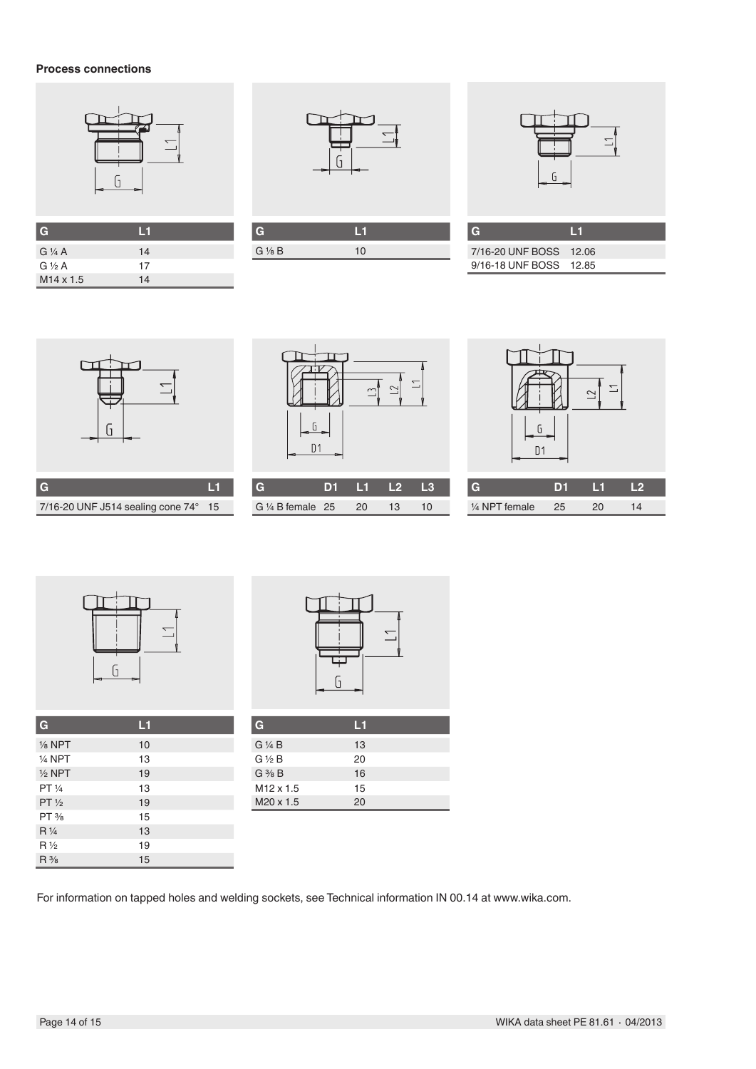## **Process connections**



| $\overline{G}$     | H  |
|--------------------|----|
| $G\mathcal{V}_4$ A | 14 |
| $G\frac{1}{2}A$    | 17 |
| $M14 \times 1.5$   | 14 |



| G               |    |  |
|-----------------|----|--|
| $G\frac{1}{8}B$ | 10 |  |
|                 |    |  |

I

| G                      | ٦FL |
|------------------------|-----|
| 7/16-20 UNF BOSS 12.06 |     |
| 9/16-18 UNF BOSS 12.85 |     |



**G L1** 7/16-20 UNF J514 sealing cone 74° 15

|   | G<br>D <sub>1</sub> | ِلَب | ◇  | ⊤. |
|---|---------------------|------|----|----|
| G | D <sub>1</sub>      | L1   | L2 | L3 |

G ¼ B female 25 20 13 10





| G                 | L1 |  |
|-------------------|----|--|
| $\frac{1}{8}$ NPT | 10 |  |
| $1/4$ NPT         | 13 |  |
| $1/2$ NPT         | 19 |  |
| PT 1/4            | 13 |  |
| $PT\frac{1}{2}$   | 19 |  |
| $PT\frac{3}{8}$   | 15 |  |
| $R\frac{1}{4}$    | 13 |  |
| $R\frac{1}{2}$    | 19 |  |
| $R\frac{3}{8}$    | 15 |  |



| G                     | М  |  |
|-----------------------|----|--|
| $G\mathrel{\vee} A B$ | 13 |  |
| $G \ntriangle B$      | 20 |  |
| $G \frac{3}{8} B$     | 16 |  |
| M <sub>12</sub> x 1.5 | 15 |  |
| M <sub>20</sub> x 1.5 | 20 |  |

For information on tapped holes and welding sockets, see Technical information IN 00.14 at www.wika.com.